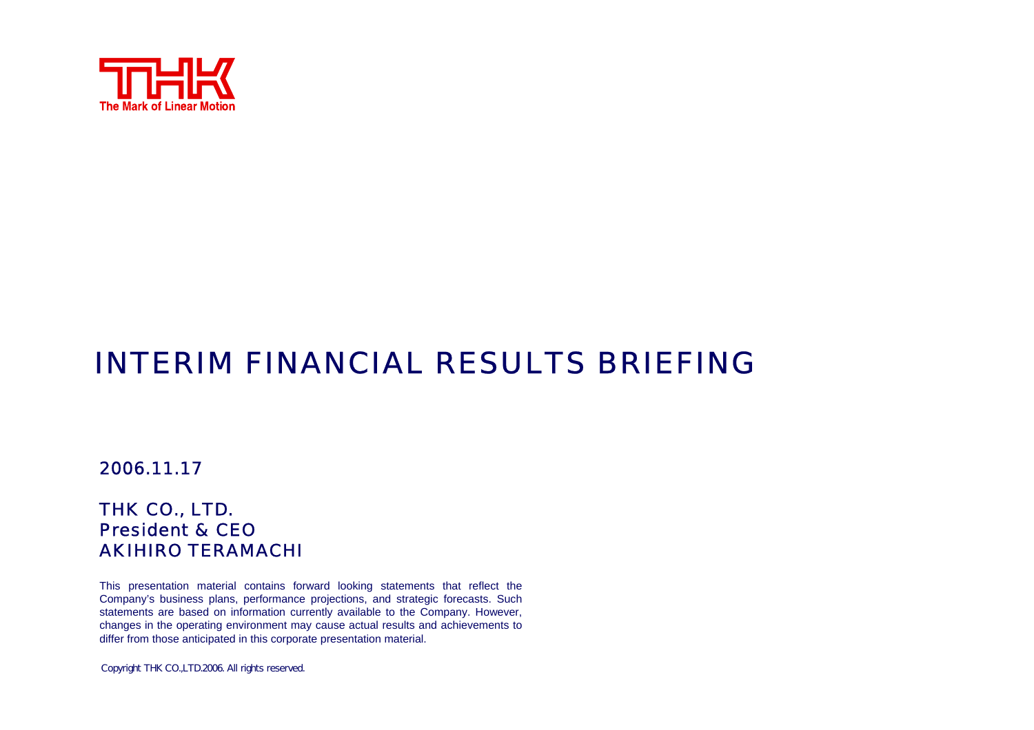

# INTERIM FINANCIAL RESULTS BRIEFING

#### 2006.11.17

#### THK CO., LTD. President & CEOAKIHIRO TERAMACHI

This presentation material contains forward looking statements that reflect the Company's business plans, performance projections, and strategic forecasts. Such statements are based on information currently available to the Company. However, changes in the operating environment may cause actual results and achievements to differ from those anticipated in this corporate presentation material.

Copyright THK CO.,LTD.2006. All rights reserved.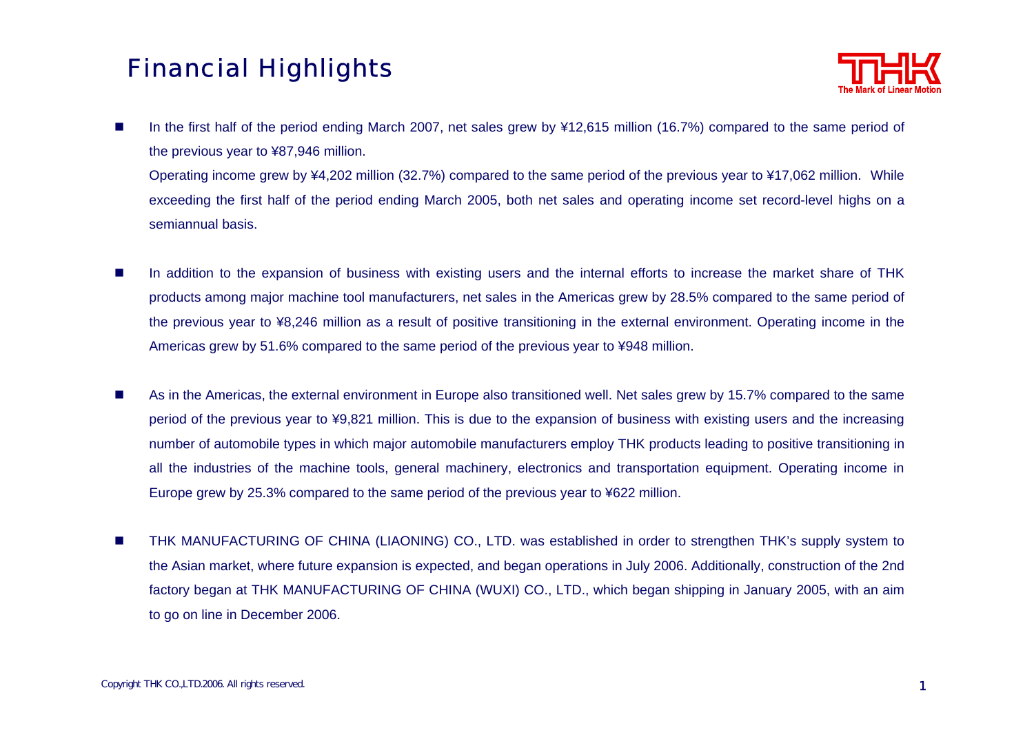## Financial Highlights



In the first half of the period ending March 2007, net sales grew by ¥12,615 million (16.7%) compared to the same period of the previous year to ¥87,946 million.

Operating income grew by ¥4,202 million (32.7%) compared to the same period of the previous year to ¥17,062 million. While exceeding the first half of the period ending March 2005, both net sales and operating income set record-level highs on a semiannual basis.

- $\overline{\phantom{a}}$  In addition to the expansion of business with existing users and the internal efforts to increase the market share of THK products among major machine tool manufacturers, net sales in the Americas grew by 28.5% compared to the same period of the previous year to ¥8,246 million as a result of positive transitioning in the external environment. Operating income in the Americas grew by 51.6% compared to the same period of the previous year to ¥948 million.
- $\mathcal{L}_{\mathcal{A}}$  As in the Americas, the external environment in Europe also transitioned well. Net sales grew by 15.7% compared to the same period of the previous year to ¥9,821 million. This is due to the expansion of business with existing users and the increasing number of automobile types in which major automobile manufacturers employ THK products leading to positive transitioning in all the industries of the machine tools, general machinery, electronics and transportation equipment. Operating income in Europe grew by 25.3% compared to the same period of the previous year to ¥622 million.
- $\mathcal{L}_{\mathcal{A}}$ ■ THK MANUFACTURING OF CHINA (LIAONING) CO., LTD. was established in order to strengthen THK's supply system to the Asian market, where future expansion is expected, and began operations in July 2006. Additionally, construction of the 2nd factory began at THK MANUFACTURING OF CHINA (WUXI) CO., LTD., which began shipping in January 2005, with an aim to go on line in December 2006.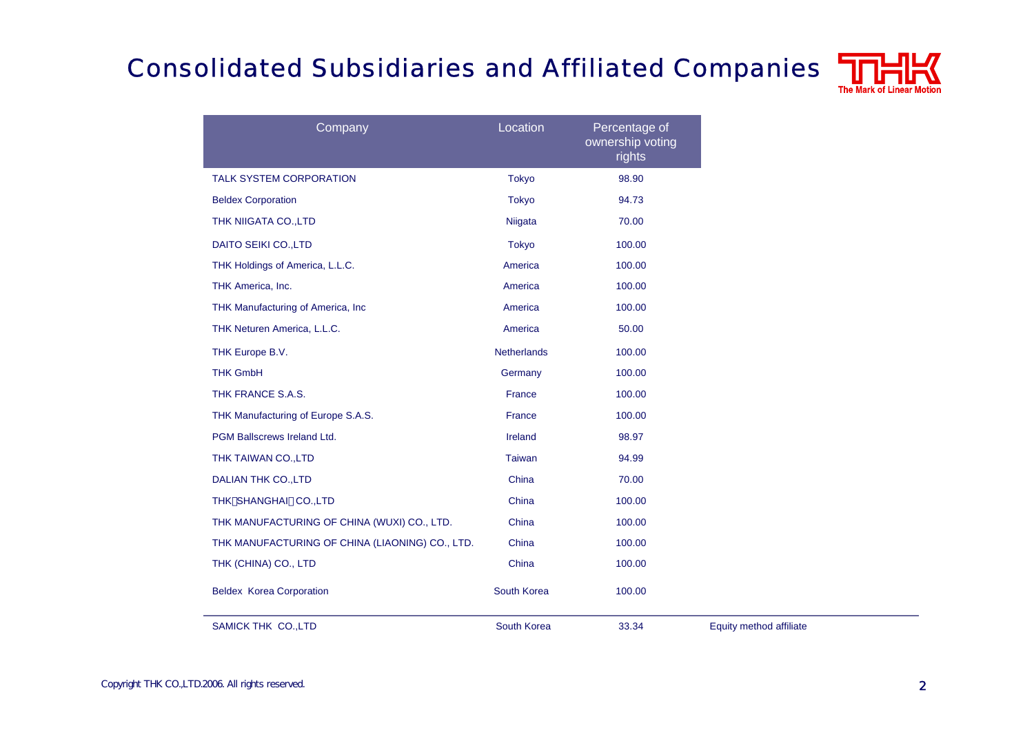# Consolidated Subsidiaries and Affiliated Companies



| Company                                         | Location           | Percentage of<br>ownership voting<br>rights |                         |
|-------------------------------------------------|--------------------|---------------------------------------------|-------------------------|
| <b>TALK SYSTEM CORPORATION</b>                  | <b>Tokyo</b>       | 98.90                                       |                         |
| <b>Beldex Corporation</b>                       | <b>Tokyo</b>       | 94.73                                       |                         |
| THK NIIGATA CO., LTD                            | Niigata            | 70.00                                       |                         |
| <b>DAITO SEIKI CO., LTD</b>                     | <b>Tokyo</b>       | 100.00                                      |                         |
| THK Holdings of America, L.L.C.                 | America            | 100.00                                      |                         |
| THK America, Inc.                               | America            | 100.00                                      |                         |
| THK Manufacturing of America, Inc               | America            | 100.00                                      |                         |
| THK Neturen America, L.L.C.                     | America            | 50.00                                       |                         |
| THK Europe B.V.                                 | <b>Netherlands</b> | 100.00                                      |                         |
| <b>THK GmbH</b>                                 | Germany            | 100.00                                      |                         |
| THK FRANCE S.A.S.                               | France             | 100.00                                      |                         |
| THK Manufacturing of Europe S.A.S.              | <b>France</b>      | 100.00                                      |                         |
| PGM Ballscrews Ireland Ltd.                     | Ireland            | 98.97                                       |                         |
| THK TAIWAN CO., LTD                             | <b>Taiwan</b>      | 94.99                                       |                         |
| <b>DALIAN THK CO., LTD</b>                      | China              | 70.00                                       |                         |
| THK SHANGHAI CO., LTD                           | China              | 100.00                                      |                         |
| THK MANUFACTURING OF CHINA (WUXI) CO., LTD.     | China              | 100.00                                      |                         |
| THK MANUFACTURING OF CHINA (LIAONING) CO., LTD. | China              | 100.00                                      |                         |
| THK (CHINA) CO., LTD                            | China              | 100.00                                      |                         |
| <b>Beldex Korea Corporation</b>                 | South Korea        | 100.00                                      |                         |
| <b>SAMICK THK CO., LTD</b>                      | South Korea        | 33.34                                       | Equity method affiliate |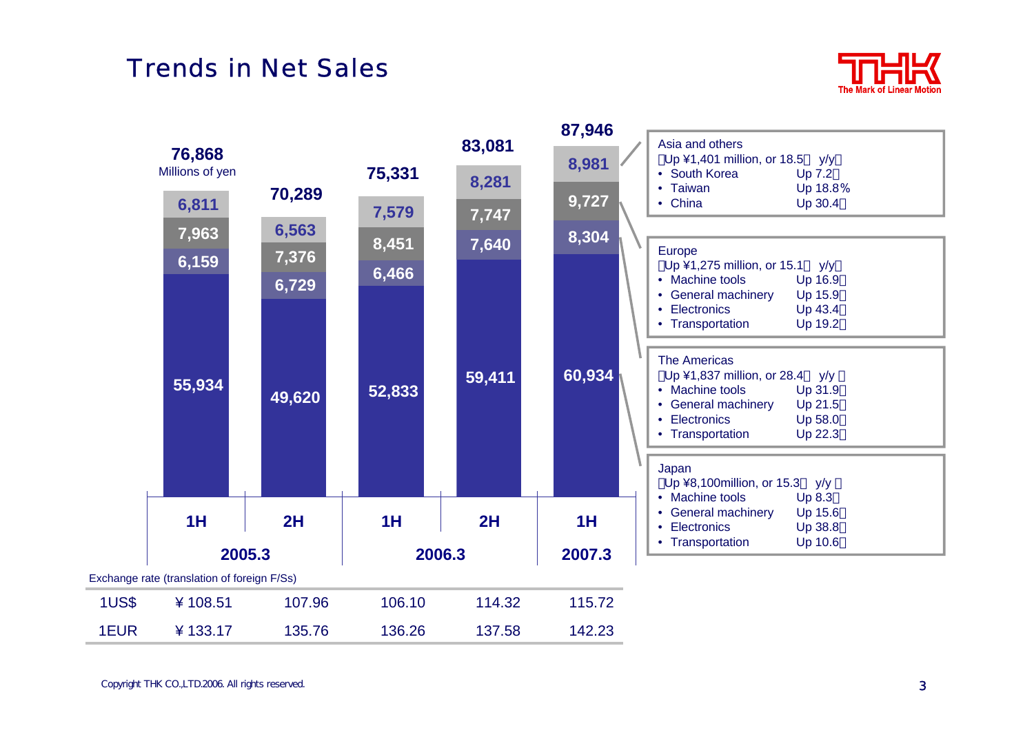#### Trends in Net Sales



|              |                                             |                                   |                         |                 | 87,946         |                                                                                                                                                                                                                                        |
|--------------|---------------------------------------------|-----------------------------------|-------------------------|-----------------|----------------|----------------------------------------------------------------------------------------------------------------------------------------------------------------------------------------------------------------------------------------|
|              | 76,868<br>Millions of yen                   |                                   | 75,331                  | 83,081<br>8,281 | 8,981          | Asia and others<br>Up ¥1,401 million, or 18.5 y/y<br>• South Korea<br>Up 7.2                                                                                                                                                           |
|              | 6,811<br>7,963<br>6,159                     | 70,289<br>6,563<br>7,376<br>6,729 | 7,579<br>8,451<br>6,466 | 7,747<br>7,640  | 9,727<br>8,304 | • Taiwan<br>Up 18.8%<br>• China<br>Up 30.4<br>Europe<br>Up ¥1,275 million, or 15.1<br>y/y<br>• Machine tools<br>Up 16.9<br><b>General machinery</b><br>Up 15.9<br>$\bullet$<br>• Electronics<br>Up 43.4<br>• Transportation<br>Up 19.2 |
|              | 55,934                                      | 49,620                            | 52,833                  | 59,411          | 60,934         | <b>The Americas</b><br>Up ¥1,837 million, or 28.4<br>y/y<br>• Machine tools<br>Up 31.9<br>• General machinery<br>Up 21.5<br>• Electronics<br>Up 58.0<br>• Transportation<br>Up 22.3                                                    |
|              |                                             |                                   |                         |                 |                | Japan<br>Up ¥8,100million, or 15.3<br>y/y<br>• Machine tools                                                                                                                                                                           |
|              | 1H                                          | 2H                                | 1H                      | 2H              | 1H             | Up 8.3<br>• General machinery<br>Up 15.6<br>Electronics<br>Up 38.8<br>$\bullet$<br>• Transportation                                                                                                                                    |
| 2005.3       |                                             |                                   | 2006.3                  |                 | Up 10.6        |                                                                                                                                                                                                                                        |
|              | Exchange rate (translation of foreign F/Ss) |                                   |                         |                 |                |                                                                                                                                                                                                                                        |
| <b>1US\$</b> | ¥108.51                                     | 107.96                            | 106.10                  | 114.32          | 115.72         |                                                                                                                                                                                                                                        |
| 1EUR         | ¥133.17                                     | 135.76                            | 136.26                  | 137.58          | 142.23         |                                                                                                                                                                                                                                        |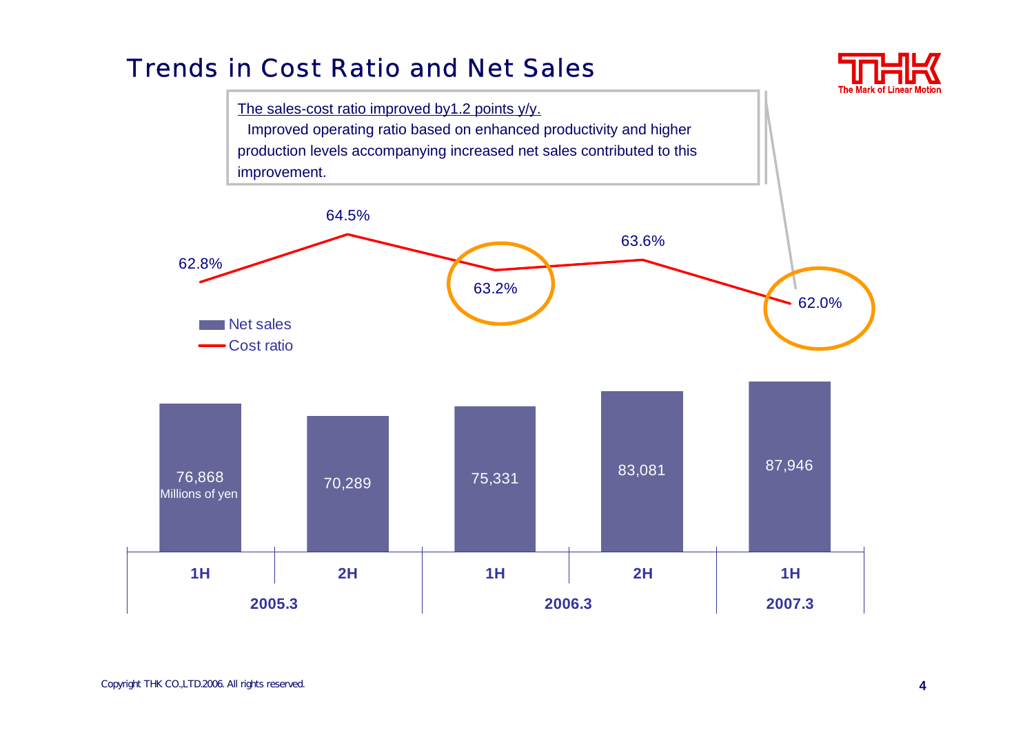#### Trends in Cost Ratio and Net Sales



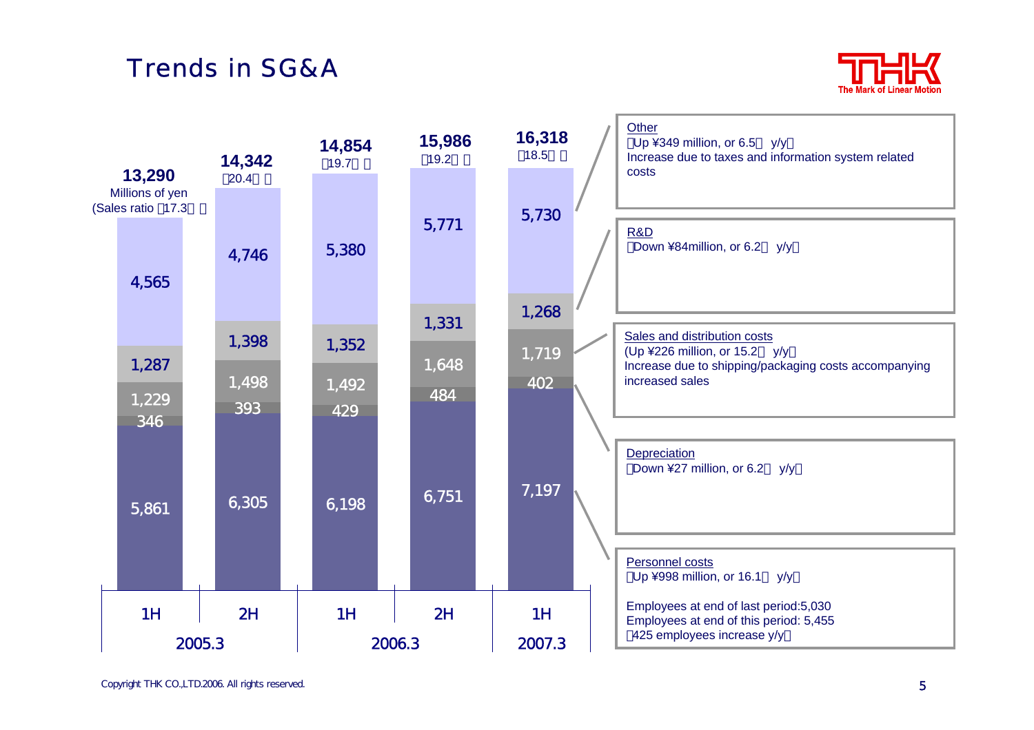# Trends in SG&A



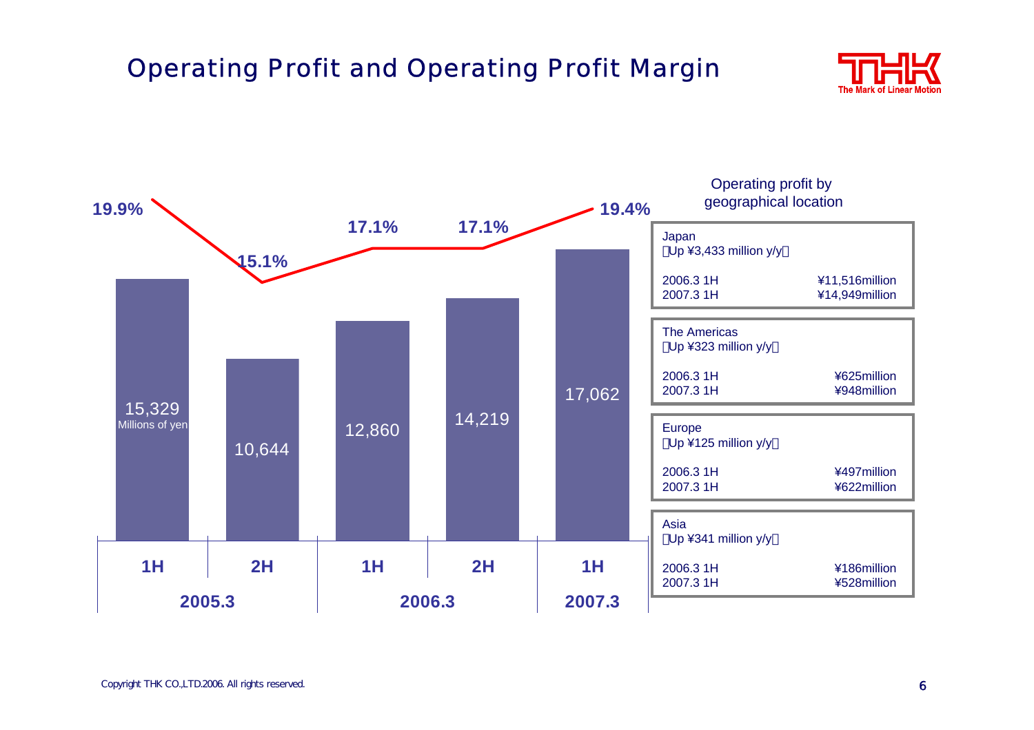# Operating Profit and Operating Profit Margin



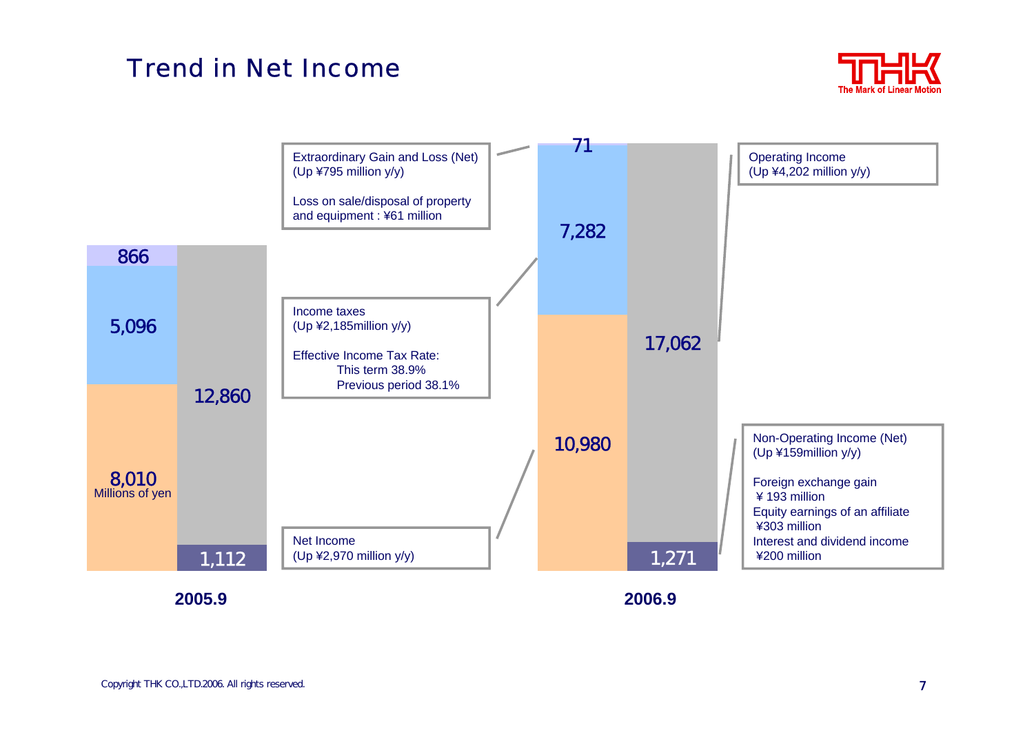#### Trend in Net Income



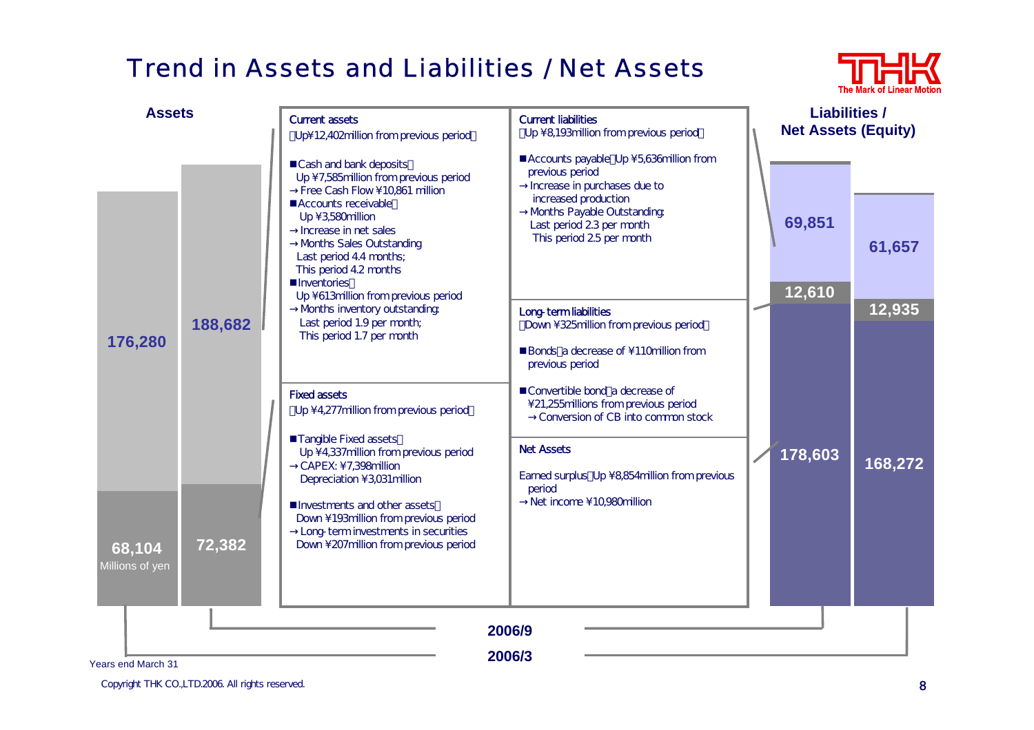## Trend in Assets and Liabilities / Net Assets



| <b>Assets</b>                          |         | <b>Current assets</b>                                                                                                                                                                                                                                                                                                   | <b>Current liabilities</b><br>Up \8,193million from previous period                                                                                                                                     | <b>Liabilities /</b><br><b>Net Assets (Equity)</b> |         |  |
|----------------------------------------|---------|-------------------------------------------------------------------------------------------------------------------------------------------------------------------------------------------------------------------------------------------------------------------------------------------------------------------------|---------------------------------------------------------------------------------------------------------------------------------------------------------------------------------------------------------|----------------------------------------------------|---------|--|
|                                        |         | Up\12,402million from previous period<br>Cash and bank deposits<br>Up \7,585million from previous period<br>Free Cash Flow \ 10,861 million<br>Accounts receivable<br>Up \ 3,580million<br>Increase in net sales<br>Months Sales Outstanding<br>Last period 4.4 months;<br>This period 4.2 months<br><b>Inventories</b> | Accounts payable Up \5,636million from<br>previous period<br>Increase in purchases due to<br>increased production<br>Months Payable Outstanding<br>Last period 23 per month<br>This period 25 per month | 69,851<br>12,610                                   | 61,657  |  |
| 176,280                                | 188,682 | Up \613million from previous period<br>Months inventory outstanding<br>Last period 1.9 per month;<br>This period 1.7 per month                                                                                                                                                                                          | Long-term liabilities<br>Down \325million from previous period<br>Bonds a decrease of \110million from<br>previous period                                                                               |                                                    | 12,935  |  |
|                                        |         | <b>Fixed assets</b><br>Up \4,277 million from previous period<br>■Tangible Fixed assets<br>Up \4,337million from previous period<br>CAPEX: \7,398million<br>Depreciation \ 3,031 million                                                                                                                                | Convertible bond a decrease of<br>\21,255millions from previous period<br>Conversion of CB into common stock<br><b>Net Assets</b><br>Earned surplus Up \8,854million from previous<br>period            | 178,603                                            | 168,272 |  |
| 68,104<br>Millions of yen              | 72,382  | Investments and other assets<br>Down \193million from previous period<br>Long-term investments in securities<br>Down \207million from previous period                                                                                                                                                                   | Net income \10,980million                                                                                                                                                                               |                                                    |         |  |
| 2006/9<br>2006/3<br>Years end March 31 |         |                                                                                                                                                                                                                                                                                                                         |                                                                                                                                                                                                         |                                                    |         |  |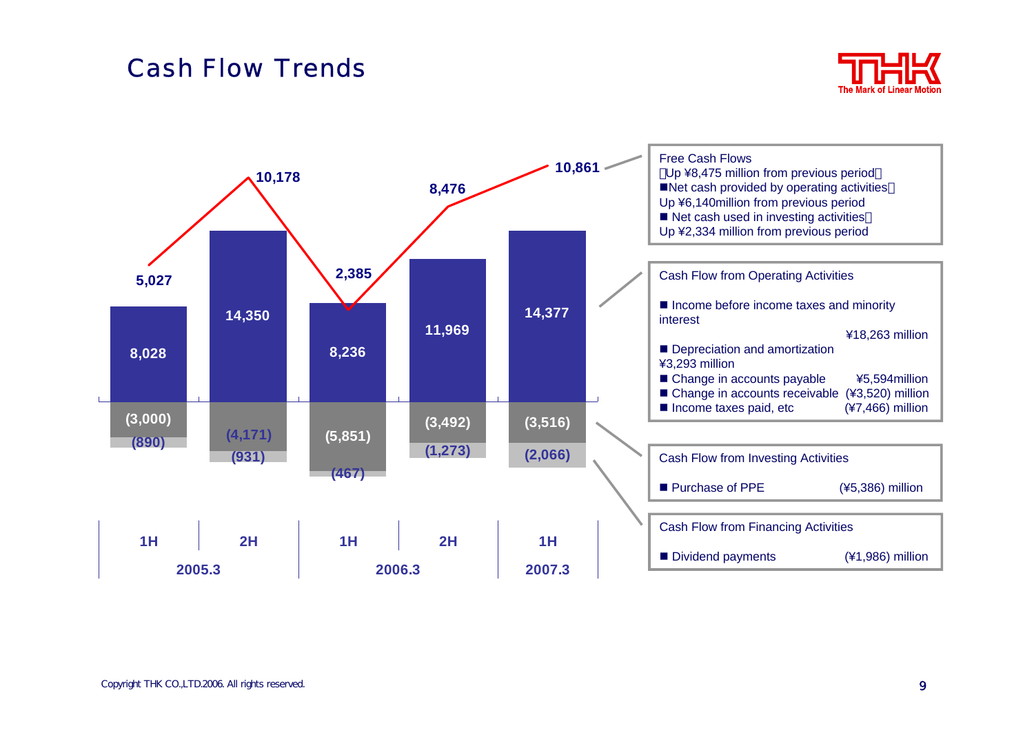#### Cash Flow Trends